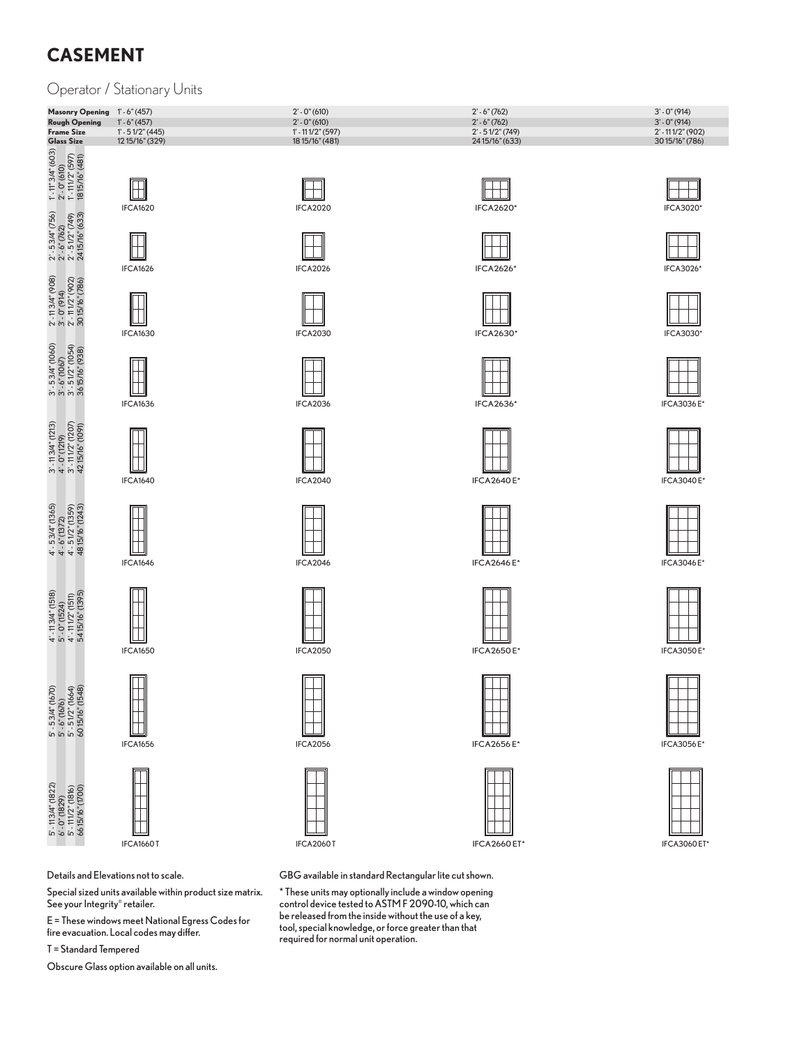# **CASEMENT**

### Operator / Stationary Units

| Masonry Opening 1'-6" (457) |                    | $2' - 0''(610)$   | $2' - 6''(762)$    | $3' - 0''(914)$      |
|-----------------------------|--------------------|-------------------|--------------------|----------------------|
| Rough Opening               | $1' - 6''(457)$    | $2' - 0''(610)$   | $2' - 6''(762)$    | $3' - 0''(914)$      |
| <b>Frame Size</b>           | $1' - 51/2''(445)$ | 1' - 111/2" (597) | $2' - 51/2''(749)$ | $2' - 111/2''$ (902) |
| <b>Glass Size</b>           | 12 15/16" (329)    | 18 15/16" (481)   | 2415/16" (633)     | 3015/16" (786)       |







 $\boxplus$ 





 $\begin{array}{l} 3' \cdot 5.3A''(1060) \\ 3' \cdot 6''(1067) \\ 3' \cdot 5.1/2''(1054) \\ 36.15/16''(938) \end{array}$ 

IFCA1640

IFCA1646

IFCA1650

 $\Box$ 



4' - 5 3/4" (1365)<br>4' - 6" (1372)<br>4' - 5 1/2" (1359)<br>48 15/16" (1243)

 $\mathbf{I}$  $\blacksquare$ 





Details and Elevations not to scale.

Special sized units available within product size matrix. See your Integrity® retailer.

E = These windows meet National Egress Codes for fire evacuation. Local codes may differ.

T = Standard Tempered





H IFCA2020









IFCA2040











IFCA2660 ET\*

GBG available in standard Rectangular lite cut shown.

\* these units may optionally include a window opening control device tested to AStM F 2090-10, which can be released from the inside without the use of a key, tool, special knowledge, or force greater than that required for normal unit operation.











IFCA2640 E\*

IFCA2646 E\*

TT

IFCA2656 E\*







IFCA3026\*



IFCA3036 E\*



IFCA3040 E\*



**IFCA3050 E**\*

IFCA3056 E\*









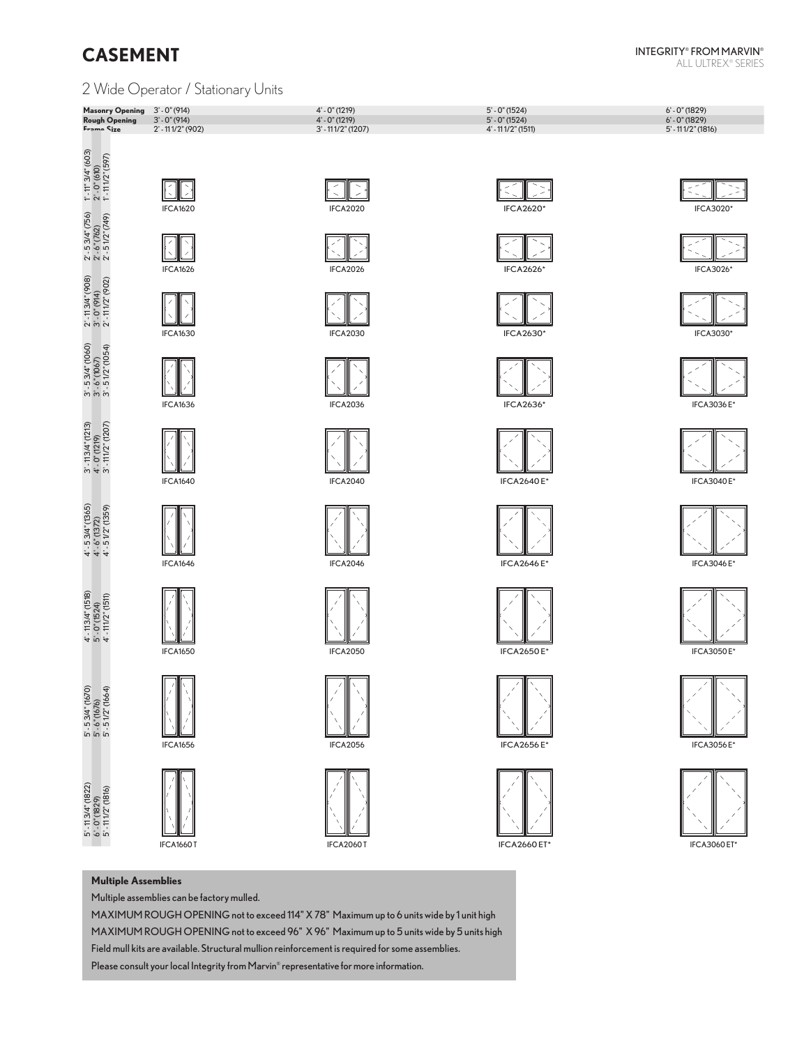### 2 Wide Operator / Stationary Units

| Masonry Opening 3' - 0" (914) |                      | $4' - 0''(1219)$     | $5' - 0''(1524)$   | $6' - 0''(1829)$     |
|-------------------------------|----------------------|----------------------|--------------------|----------------------|
| Rough Opening $3' - 0''(914)$ |                      | $4' - 0''(1219)$     | $5' - 0''(1524)$   | $6' - 0''(1829)$     |
| Frame Size                    | $2' - 111/2''$ (902) | $3'$ - 111/2" (1207) | 4' - 111/2" (1511) | $5'$ - 111/2" (1816) |
|                               |                      |                      |                    |                      |

































IFCA2640 E\*







IFCA2656 E\*



 $\lesssim$  $\Rightarrow$ IFCA3020\*









IFCA3040 E\*



IFCA3046 E\*





IFCA3056 E\*



IFCA3060 ET\*

#### **Multiple Assemblies**

Multiple assemblies can be factory mulled.

MAXIMUM ROUGH OPENING not to exceed 114" X 78" Maximum up to 6 units wide by 1 unit high MAXIMUM ROUGH OPENING not to exceed 96" X 96" Maximum up to 5 units wide by 5 units high Field mull kits are available. Structural mullion reinforcement is required for some assemblies.

Please consult your local Integrity from Marvin® representative for more information.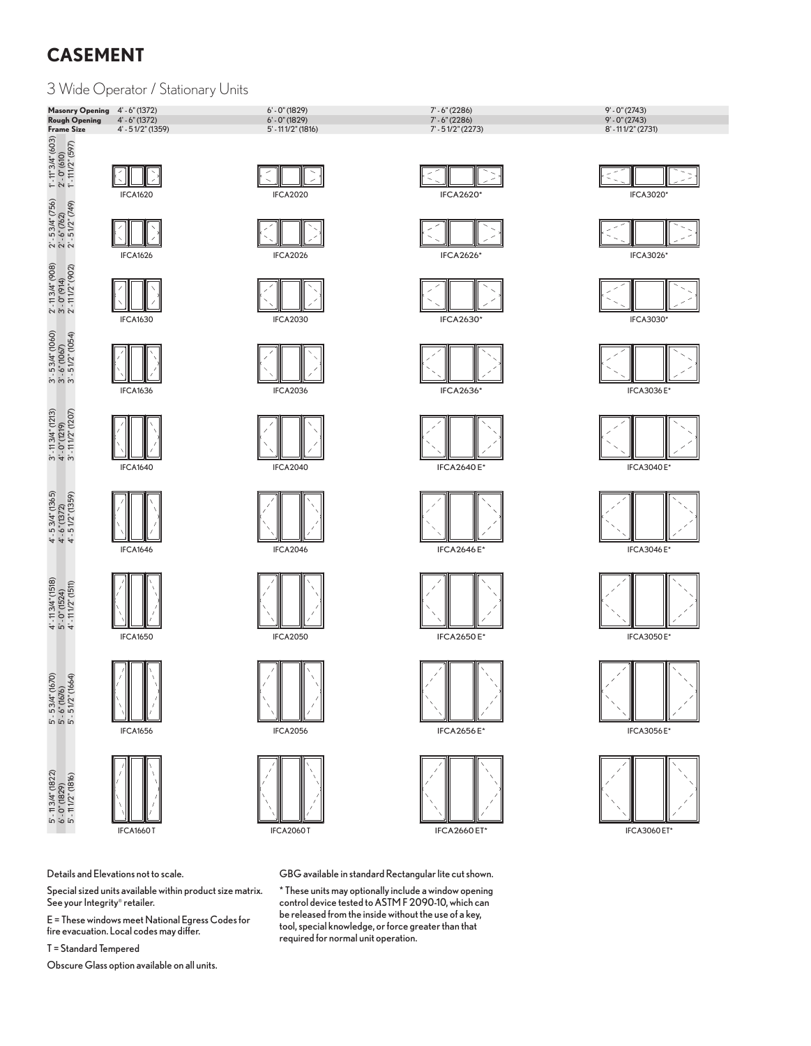# **CASEMENT**

3 Wide Operator / Stationary Units









GBG available in standard Rectangular lite cut shown.

\* these units may optionally include a window opening control device tested to AStM F 2090-10, which can be released from the inside without the use of a key, tool, special knowledge, or force greater than that required for normal unit operation.





**IFCA3060 ET\*** 

Details and Elevations not to scale.

Special sized units available within product size matrix. See your Integrity® retailer.

 $E$  = These windows meet National Egress Codes for fire evacuation. Local codes may differ.

T = Standard Tempered

Obscure Glass option available on all units.

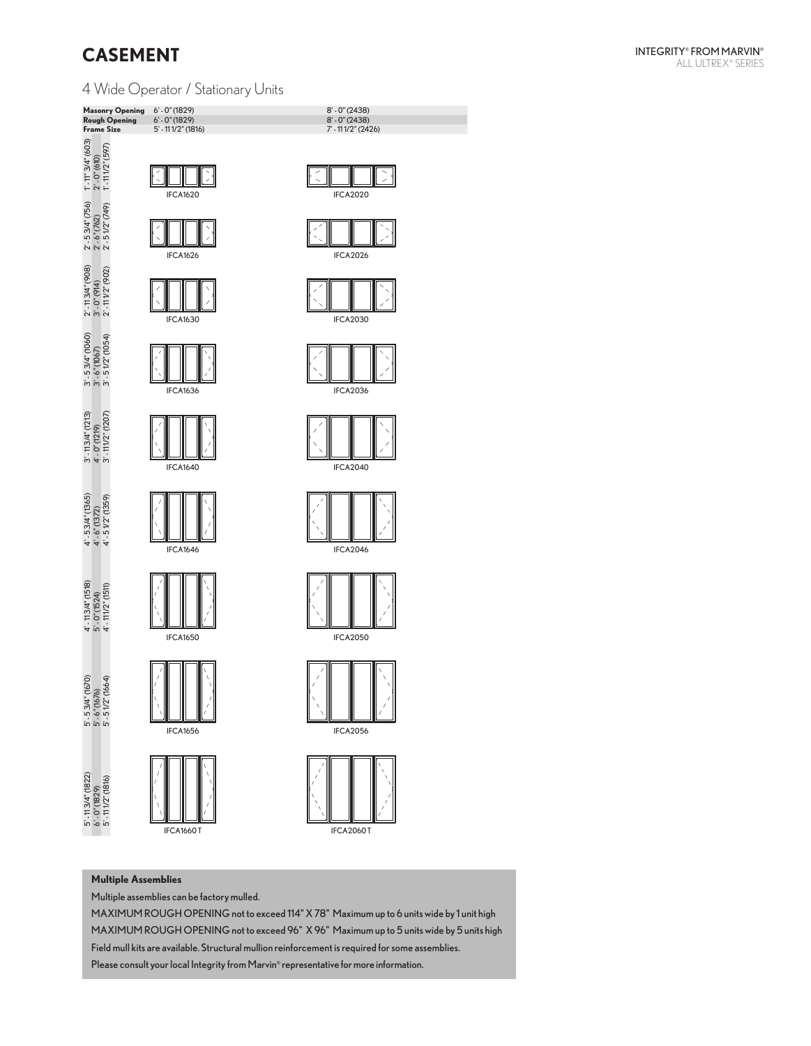# **CASEMENT**

4 Wide Operator / Stationary Units



### $\geq$ IFCA2020



















#### **Multiple Assemblies**

Multiple assemblies can be factory mulled.

MAXIMUM ROUGH OPENING not to exceed 114" X 78" Maximum up to 6 units wide by 1 unit high MAXIMUM ROUGH OPENING not to exceed 96" X 96" Maximum up to 5 units wide by 5 units high Field mull kits are available. Structural mullion reinforcement is required for some assemblies. Please consult your local Integrity from Marvin® representative for more information.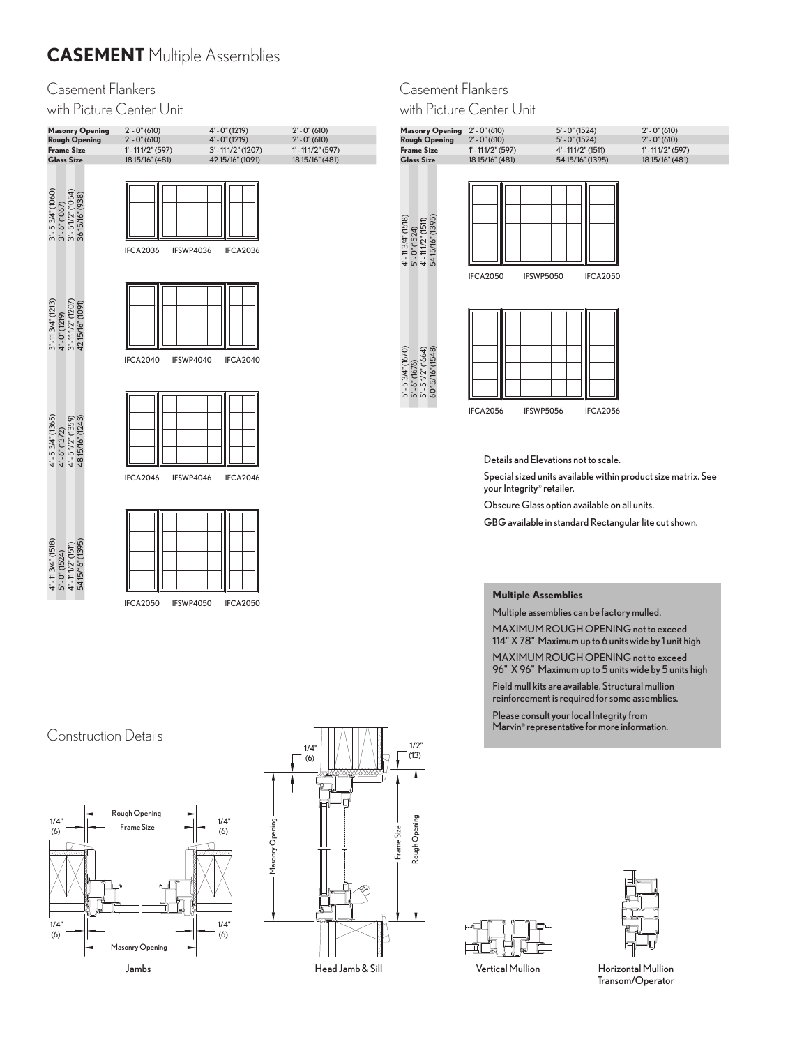# **CASEMENT** Multiple Assemblies

### Casement Flankers

with Picture Center Unit

| <b>Masonry Opening</b><br><b>Rough Opening</b><br><b>Frame Size</b><br><b>Glass Size</b>                                                   | $2' - 0''(610)$<br>$2' - 0''(610)$<br>$1' - 111/2''(597)$<br>18 15/16" (481) | 4' - 0" (1219)<br>4' - 0" (1219)<br>$3' - 111/2''(1207)$<br>42 15/16" (1091) | $2' - 0''(610)$<br>$2' - 0''(610)$<br>$1' - 111/2''(597)$<br>18 15/16" (481) |
|--------------------------------------------------------------------------------------------------------------------------------------------|------------------------------------------------------------------------------|------------------------------------------------------------------------------|------------------------------------------------------------------------------|
| $\begin{array}{l} 3' \cdot 53/4" \ (1060) \\ 3' \cdot 6" \ (1067) \\ 3' \cdot 51/2" \ (1054) \\ 3615/16" \ (938) \end{array}$              | IFCA2036<br>IFSWP4036                                                        | IFCA2036                                                                     |                                                                              |
| $\begin{array}{l} 3' \cdot 11\,34'' \,(1213) \\ 4' \cdot 0'' \,(1219) \\ 3' \cdot 11\,11/2'' \,(1207) \\ 42\,15/16'' \,(1091) \end{array}$ | IFCA2040<br>IFSWP4040                                                        | <b>IFCA2040</b>                                                              |                                                                              |
| $4' - 53/4'' (1365)$<br>$4' - 6'' (1372)$<br>$4' - 51/2'' (1359)$<br>4815/16" (1243)                                                       | IFCA2046<br>IFSWP4046                                                        | IFCA2046                                                                     |                                                                              |
| $4'$ - 11 3/4" (1518)<br>5' - 0" (1524)<br>4' - 11 1/2" (1511)<br>54 15/16" (1395)                                                         | <b>IFCA2050</b><br>IFSWP4050                                                 | <b>IFCA2050</b>                                                              |                                                                              |

# Casement Flankers

with Picture Center Unit

| <b>Masonry Opening</b>                                                                | $2' - 0''(610)$              | $5' - 0''(1524)$   | $2' - 0''(610)$     |
|---------------------------------------------------------------------------------------|------------------------------|--------------------|---------------------|
| <b>Rough Opening</b>                                                                  | $2' - 0''(610)$              | $5' - 0''(1524)$   | $2' - 0''(610)$     |
| <b>Frame Size</b>                                                                     | $1' - 111/2''(597)$          | 4' - 111/2" (1511) | $1' - 111/2''(597)$ |
| <b>Glass Size</b>                                                                     | 18 15/16" (481)              | 54 15/16" (1395)   | 18 15/16" (481)     |
| $4'$ - 11 3 $4''$ (1518)<br>5' - 0" (1524)<br>4' - 11 1/2" (1511)<br>54 15/16" (1395) |                              |                    |                     |
|                                                                                       | <b>IFCA2050</b><br>IFSWP5050 | <b>IFCA2050</b>    |                     |
| 5' - 5 3/4" (1670)<br>5' - 6" (1676)<br>5' - 5 1/2" (1664)<br>60 15/16" (1548)        | <b>IFCA2056</b><br>IFSWP5056 | <b>IFCA2056</b>    |                     |
|                                                                                       |                              |                    |                     |

Details and Elevations not to scale.

Special sized units available within product size matrix. See your Integrity® retailer.

Obscure Glass option available on all units.

GBG available in standard Rectangular lite cut shown.

#### **Multiple Assemblies**

1/4"

1/4"

Multiple assemblies can be factory mulled.

MAXIMUM ROUGH OPENING not to exceed (6) 114" X 78" Maximum up to 6 units wide by 1 unit high

1/4" (6) 96" X 96" Maximum up to 5 units wide by 5 units high MAXIMUM rOUGH OPenInG not to exceed

reinforcement is required for some assemblies. Field mull kits are available. Structural mullion

en<br>Please consult your local Integrity from Marvin® representative for more information.

Masonry Opening





Head Jamb & Sill Vertical Mullion Horizontal Mullion<br>Transom/Operator

# Construction Details



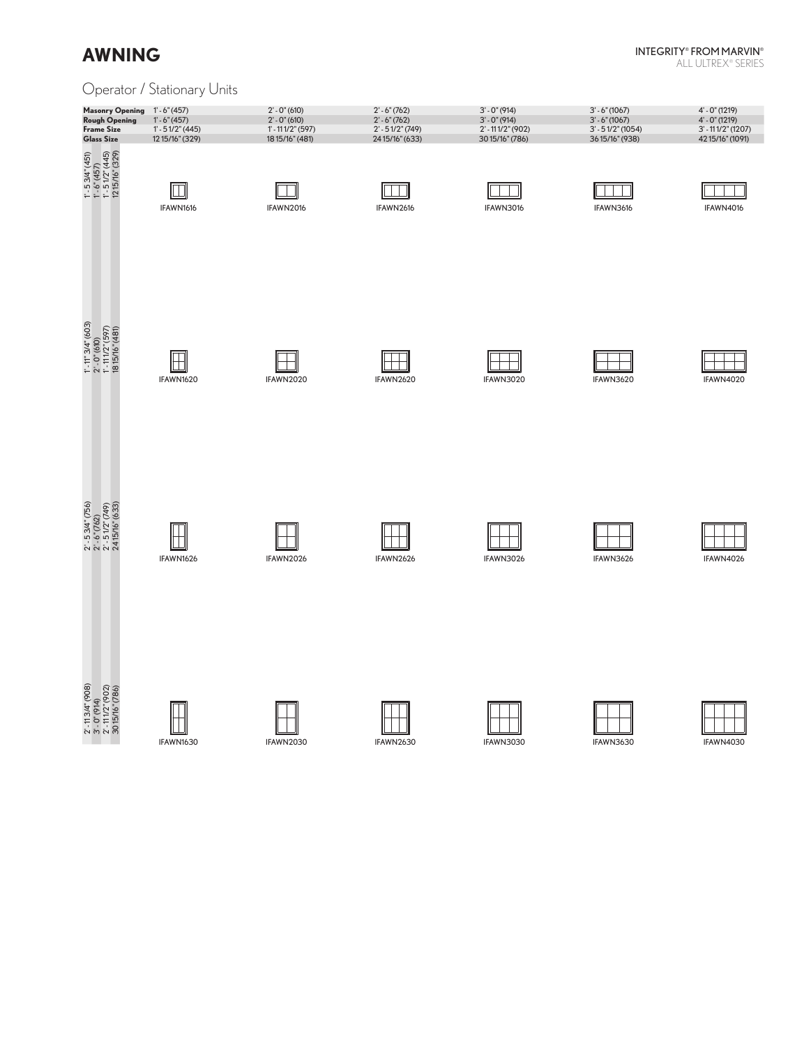### InteGrIty® FrOM MArvIn®

ALL ULTREX® SERIES

### Operator / Stationary Units

| <b>Masonry Opening</b><br><b>Rough Opening</b><br><b>Frame Size</b><br><b>Glass Size</b>                                                                                          | $1' - 6''(457)$<br>$1' - 6''(457)$<br>$1' - 51/2''(445)$<br>12 15/16" (329) | $2' - 0''(610)$<br>$2' - 0''(610)$<br>$1' - 111/2''(597)$<br>18 15/16" (481) | $2' - 6''(762)$<br>$2' - 6''(762)$<br>$2' - 51/2''$ (749)<br>24 15/16" (633) | $3' - 0''(914)$<br>$3' - 0''(914)$<br>2'-111/2" (902)<br>30 15/16" (786) | $3' - 6''(1067)$<br>$3' - 6''(1067)$<br>$3' - 51/2''$ (1054)<br>3615/16" (938) | 4' - 0" (1219)<br>4' - 0" (1219)<br>$3' - 111/2''(1207)$<br>42 15/16" (1091) |
|-----------------------------------------------------------------------------------------------------------------------------------------------------------------------------------|-----------------------------------------------------------------------------|------------------------------------------------------------------------------|------------------------------------------------------------------------------|--------------------------------------------------------------------------|--------------------------------------------------------------------------------|------------------------------------------------------------------------------|
| $\begin{array}{l} 1^\circ{\text -}5\,3/4^{\circ}(451)\\ 1^\circ{\text -}6^{\circ}(457)\\ 1^\circ{\text -}5\,1/2^{\circ}(445)\\ 12\,15/16^{\circ}(329) \end{array}$                | IFAWN1616                                                                   | IFAWN2016                                                                    | IFAWN2616                                                                    | IFAWN3016                                                                | IFAWN3616                                                                      | IFAWN4016                                                                    |
| $\begin{array}{l} 1^\circ\cdot 11^{\circ} \, 3A^{\circ} \, (603) \\ 2^\circ\cdot 0^{\circ} (610) \\ 1^\circ\cdot 1112^{\circ} \, (597) \\ 18\,15/16^{\circ} \, (481) \end{array}$ | IFAWN1620                                                                   | IFAWN2020                                                                    | IFAWN2620                                                                    | IFAWN3020                                                                | IFAWN3620                                                                      | IFAWN4020                                                                    |
| $\begin{array}{l} 2^\circ\cdot 5\,3A^\circ\,(756)\\ 2^\circ\cdot 6^\circ\,(762)\\ 2^\circ\cdot 5\,1/2^\circ\,(749)\\ 24\,15/16^\circ\,(633) \end{array}$                          | IFAWN1626                                                                   | IFAWN2026                                                                    | IFAWN2626                                                                    | IFAWN3026                                                                | IFAWN3626                                                                      | IFAWN4026                                                                    |
| $\begin{array}{l} 2^{\circ} \cdot 113A'' \, (908) \\ 3^{\circ} \cdot 0^{*} (914) \\ 2^{\circ} \cdot 111/2^{*} (902) \\ 3015/16^{*} (786) \end{array}$                             | IFAWN1630                                                                   | IFAWN2030                                                                    | IFAWN2630                                                                    | IFAWN3030                                                                | IFAWN3630                                                                      | IFAWN4030                                                                    |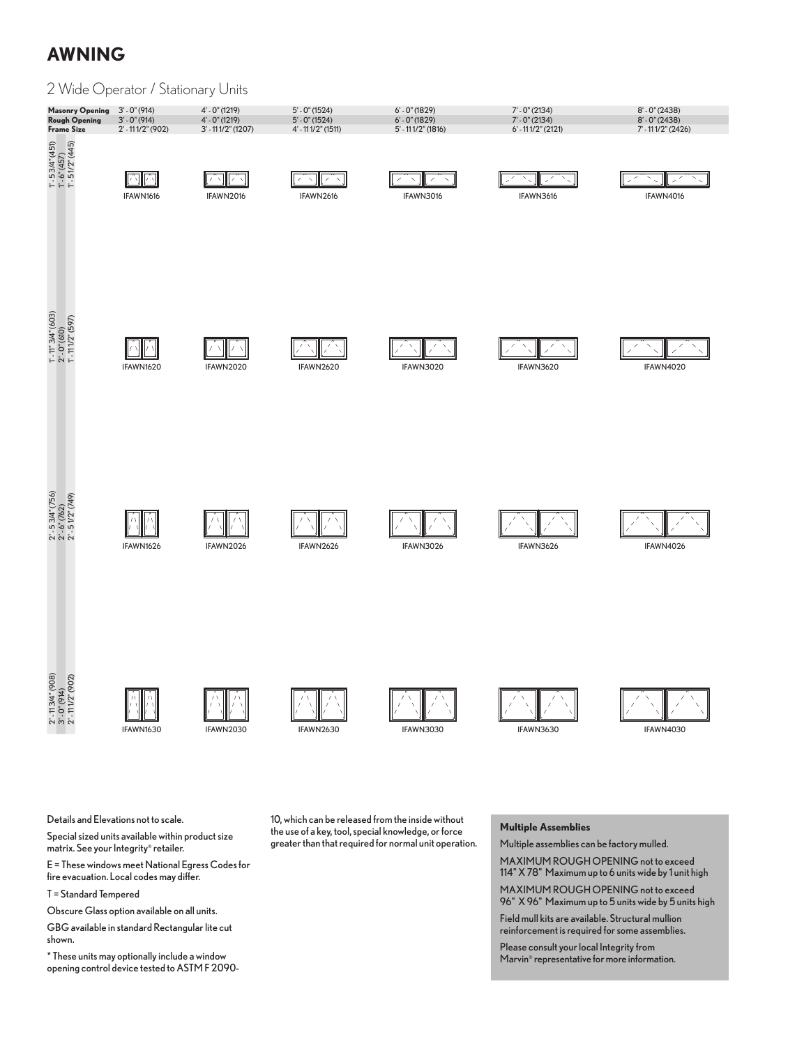#### 2 Wide Operator / Stationary Units **Masonry Opening** 3' - 0" (914) 4' - 0" (1219) 5' - 0" (1524) 6' - 0" (1829) 7' - 0" (2134) 8' - 0" (2138)<br> **Rough Opening** 3' - 0" (914) 4' - 0" (1219) 5' - 0" (1524) 6' - 0" (1829) 7' - 0" (2134) 8' - 0" (2138)<br> **Frame S Rough Opening** 3' - 0" (914) 4' - 0" (1219) 5' - 0" (1524) 6' - 0" (1829) 7' - 0" (2134) 8' - 0" (2438) **Frame Size** 2' - 11 1/2" (902) 3' - 11 1/2" (1207) 4' - 11 1/2" (1511) 5' - 11 1/2" (1816) 6' - 11 1/2" (2121) 7' - 11 1/2" (2426)  $1^{\circ}$ - 5 3/4" (451)<br>  $1^{\circ}$ - 6" (457)<br>  $1^{\circ}$ - 5 1/2" (445) 2' - 11 3/4" (908) 2' - 5 3/4" (756) 1' - 11" 3/4" (603) 1' - 5 3/4" (451) 2' - 11 1/2" (902) 2' - 5 1/2" (749) 1' - 11 1/2" (597) 1' - 5 1/2" (445) 3' - 0" (914) 2' - 0" (910) 2' - 0" (910) 2' - 0" (910) 2' - 0" (910) 2' - 0" (910) 2' - 0" (457) 六  $\sum_{i=1}^{n}$ パマ iz Tis  $\overline{\mathscr{S}}$  $\bar{\mathbf{N}}$ ×. - 28 IFAWN1616 IFAWN2016 IFAWN2616 IFAWN3016 IFAWN3616 IFAWN4016  $1'$ -  $1''$   $3/4''$  (603)<br>  $2'$ - 0" (610)<br>  $1'$ - 111/2" (597) IFAWN1620 IFAWN2020 IFAWN2620 IFAWN3020 IFAWN3620 IFAWN4020  $2' - 53/4'' (756)$ <br>  $2' - 6'' (762)$ <br>  $2' - 51/2'' (749)$ バヽ IFAWN1626 IFAWN2026 IFAWN2626 IFAWN3026 IFAWN3626 IFAWN4026

 $2'$ -113/4" (908)<br>3'-0" (914)<br>2'-111/2" (902)

IFAWN1630



IFAWN2630

IFAWN3030





Ξ.

Details and Elevations not to scale.

Special sized units available within product size matrix. See your Integrity® retailer.

E = These windows meet National Egress Codes for fire evacuation. Local codes may differ.

T = Standard Tempered

Obscure Glass option available on all units.

GBG available in standard Rectangular lite cut shown.

\* these units may optionally include a window opening control device tested to AStM F 2090-

10, which can be released from the inside without the use of a key, tool, special knowledge, or force greater than that required for normal unit operation.

#### **Multiple Assemblies**

Multiple assemblies can be factory mulled. MAXIMUM ROUGH OPENING not to exceed 114" X 78" Maximum up to 6 units wide by 1 unit high MAXIMUM ROUGH OPENING not to exceed

96" X 96" Maximum up to 5 units wide by 5 units high Field mull kits are available. Structural mullion

reinforcement is required for some assemblies. Please consult your local Integrity from Marvin® representative for more information.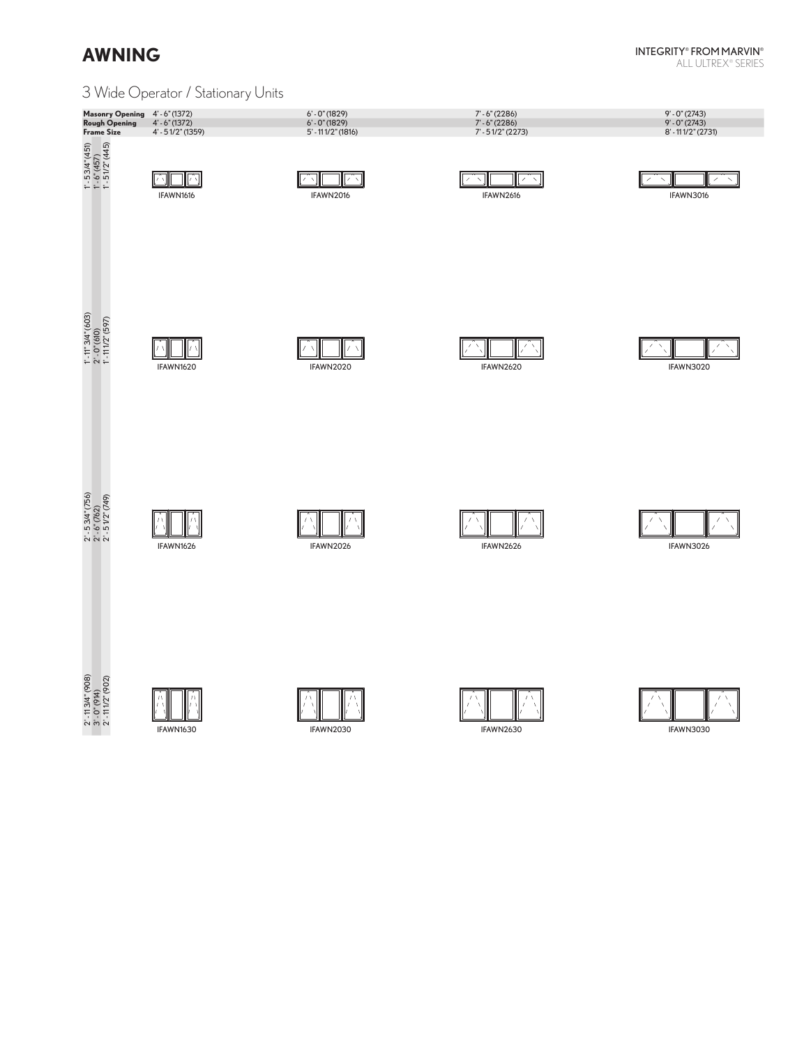#### InteGrIty® FrOM MArvIn® ALL ULTREX® SERIES

### 3 Wide Operator / Stationary Units

| Masonry Opening 4'-6" (1372)<br><b>Rough Opening</b><br><b>Frame Size</b> | $4' - 6''(1372)$<br>4' - 51/2" (1359) | $6' - 0''(1829)$<br>$6' - 0''$ (1829)<br>$5'$ - 11 1/2" (1816) | $7 - 6" (2286)$<br>$7' - 6''$ (2286)<br>$7' - 51/2''$ (2273) | $9' - 0''(2743)$<br>$9' - 0''(2743)$<br>8' - 111/2" (2731) |
|---------------------------------------------------------------------------|---------------------------------------|----------------------------------------------------------------|--------------------------------------------------------------|------------------------------------------------------------|
| $1'$ - 5 3/4" (451)<br>$1'$ - 6" (457)<br>$1'$ - 5 1/2" (445)             | $\sqrt{N}$<br>IFAWN1616               | $\mathcal{E} \subset \mathcal{N}$<br>IFAWN2016                 | $^\prime$<br>$\boldsymbol{\times}$<br>IFAWN2616              | $\diagup$<br>IFAWN3016                                     |
| $1'$ - $1''$ $3/4''$ (603)<br>$2'$ - 0" (610)<br>$1'$ - 111/2" (597)      | $\sqrt{ }$<br>IFAWN1620               | $\sqrt{ }$<br>IFAWN2020                                        | $\prime$<br>IFAWN2620                                        | IFAWN3020                                                  |
| $2' - 53/4'' (756)$<br>$2' - 6'' (762)$<br>$2' - 51/2'' (749)$            | IFAWN1626                             | IFAWN2026                                                      | IFAWN2626                                                    | IFAWN3026                                                  |
| 2' - 11 3/4" (908)<br>3' - 0" (914)<br>2' - 11 1/2" (902)                 |                                       |                                                                |                                                              |                                                            |

 $2'$ - 11 3/4'<br>3' - 0" (914<br>2' - 11 1/2"

<u>ALA</u> IFAWN1630



IFAWN2030

<u> KN HKN</u> IFAWN2630

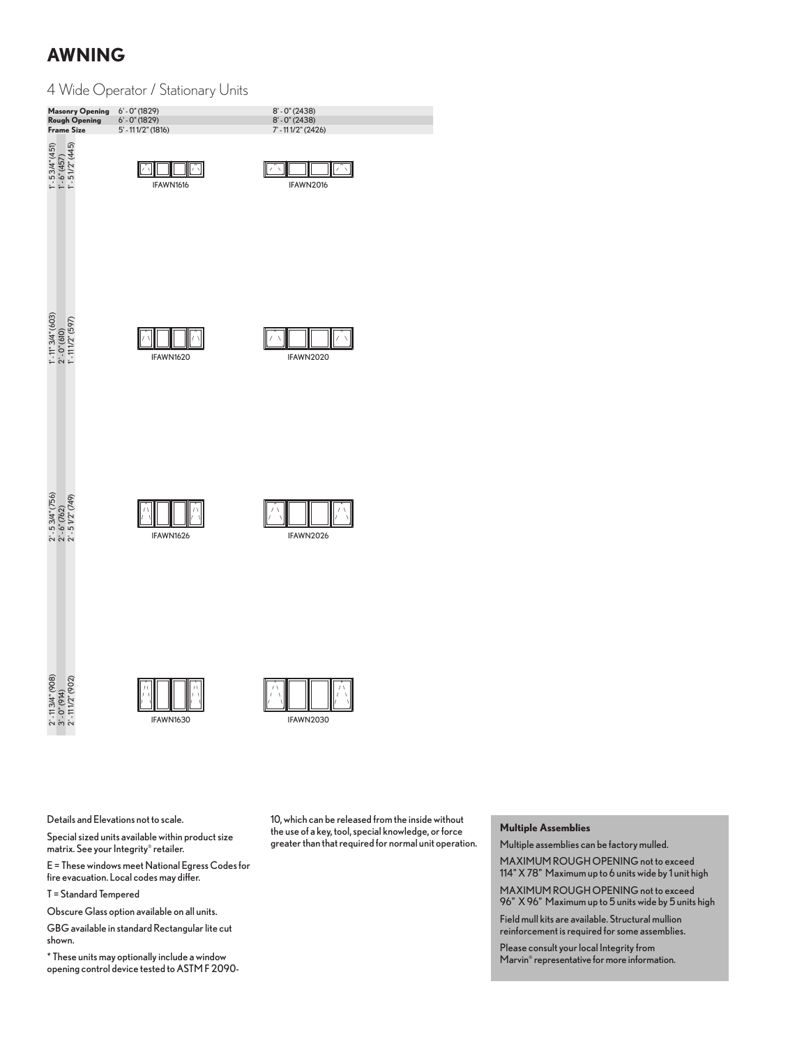#### 4 Wide Operator / Stationary Units

| <b>Masonry Opening</b><br><b>Rough Opening</b><br><b>Frame Size</b>  | $6' - 0''(1829)$<br>$6' - 0''(1829)$<br>$5' - 111/2''$ (1816) | $8' - 0''(2438)$<br>$8' - 0''(2438)$<br>7'-111/2" (2426) |  |
|----------------------------------------------------------------------|---------------------------------------------------------------|----------------------------------------------------------|--|
| $1'$ - 5 3/4" (451)<br>$1'$ - 6" (457)<br>$1'$ - 5 1/2" (445)        | IFAWN1616                                                     | 7<br>$\overline{\phantom{0}}$<br>7<br>IFAWN2016          |  |
| $1'$ - $1''$ $3/4''$ (603)<br>$2'$ - 0" (610)<br>$1'$ - 111/2" (597) | IFAWN1620                                                     | IFAWN2020                                                |  |
| $2'$ - 5 3/4" (756)<br>$2'$ - 6" (762)<br>$2'$ - 5 1/2" (749)        | IFAWN1626                                                     | IFAWN2026                                                |  |
| $2'$ -113/4" (908)<br>3'-0" (914)<br>2'-111/2" (902)                 | IFAWN1630                                                     | IFAWN2030                                                |  |

Details and Elevations not to scale.

Special sized units available within product size matrix. See your Integrity® retailer.

E = These windows meet National Egress Codes for fire evacuation. Local codes may differ.

T = Standard Tempered

Obscure Glass option available on all units.

GBG available in standard Rectangular lite cut shown.

 $*$  These units may optionally include a window opening control device tested to AStM F 209010, which can be released from the inside without the use of a key, tool, special knowledge, or force greater than that required for normal unit operation.

#### **Multiple Assemblies**

Multiple assemblies can be factory mulled. MAXIMUM ROUGH OPENING not to exceed

114" X 78" Maximum up to 6 units wide by 1 unit high

MAXIMUM rOUGH OPenInG not to exceed 96" X 96" Maximum up to 5 units wide by 5 units high

Field mull kits are available. Structural mullion reinforcement is required for some assemblies.

Please consult your local Integrity from Marvin® representative for more information.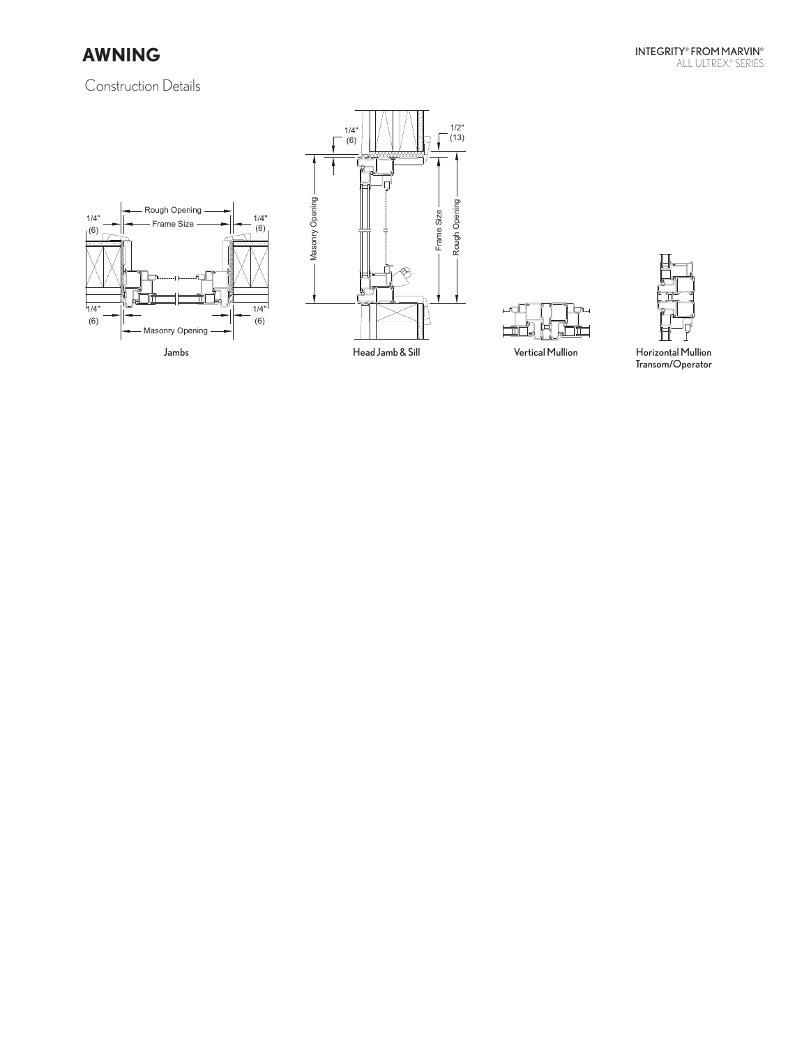











transom/Operator $\Gamma$ ransom/Operator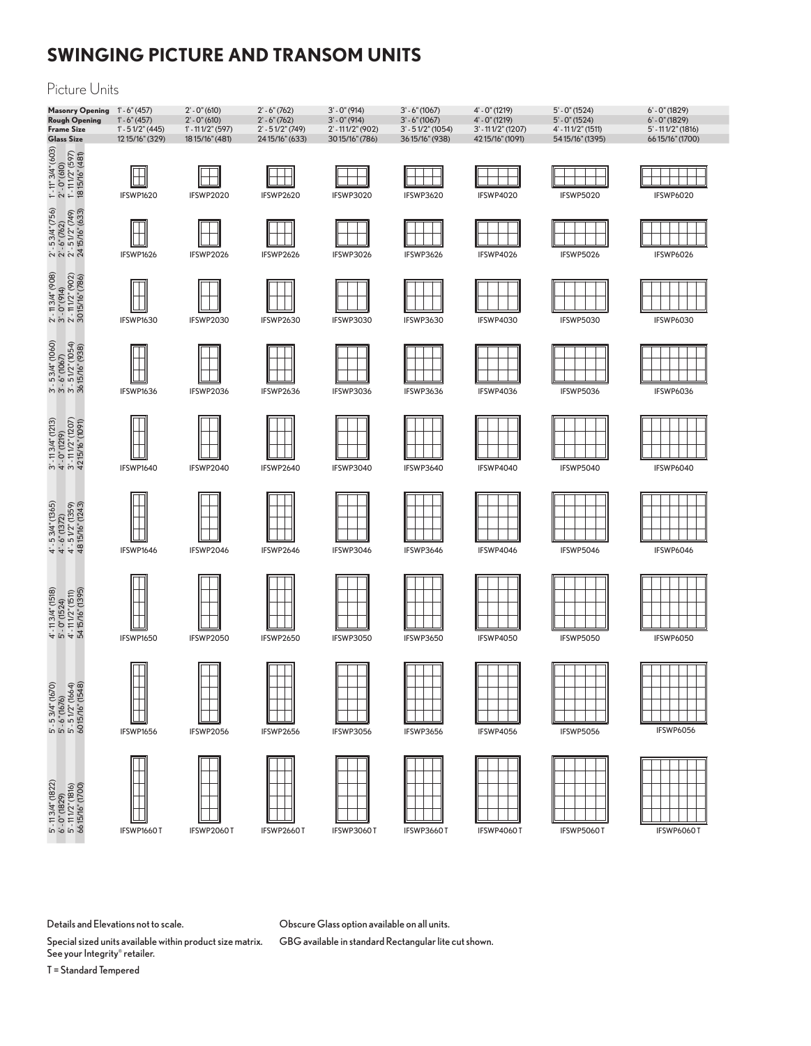# **SWINGING PICTURE AND TRANSOM UNITS**

#### Picture Units



Obscure Glass option available on all units.

GBG available in standard Rectangular lite cut shown.

Details and Elevations not to scale.

Special sized units available within product size matrix. See your Integrity® retailer.

T = Standard Tempered